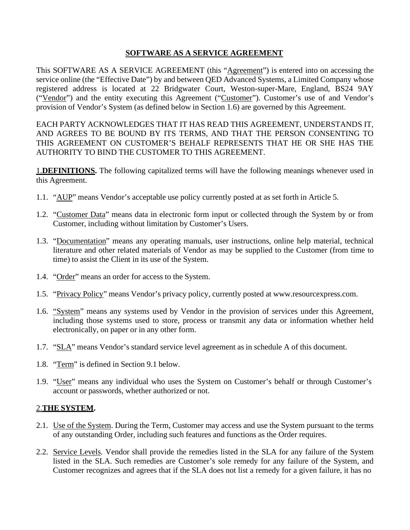## **SOFTWARE AS A SERVICE AGREEMENT**

This SOFTWARE AS A SERVICE AGREEMENT (this "Agreement") is entered into on accessing the service online (the "Effective Date") by and between QED Advanced Systems, a Limited Company whose registered address is located at 22 Bridgwater Court, Weston-super-Mare, England, BS24 9AY ("Vendor") and the entity executing this Agreement ("Customer"). Customer's use of and Vendor's provision of Vendor's System (as defined below in Sect[ion 1.6\)](#page-0-0) are governed by this Agreement.

EACH PARTY ACKNOWLEDGES THAT IT HAS READ THIS AGREEMENT, UNDERSTANDS IT, AND AGREES TO BE BOUND BY ITS TERMS, AND THAT THE PERSON CONSENTING TO THIS AGREEMENT ON CUSTOMER'S BEHALF REPRESENTS THAT HE OR SHE HAS THE AUTHORITY TO BIND THE CUSTOMER TO THIS AGREEMENT.

1.**DEFINITIONS.** The following capitalized terms will have the following meanings whenever used in this Agreement.

- 1.1. "AUP" means Vendor's acceptable use policy currently posted at as set forth in Article 5.
- 1.2. "Customer Data" means data in electronic form input or collected through the System by or from Customer, including without limitation by Customer's Users.
- 1.3. "Documentation" means any operating manuals, user instructions, online help material, technical literature and other related materials of Vendor as may be supplied to the Customer (from time to time) to assist the Client in its use of the System.
- 1.4. "Order" means an order for access to the System.
- 1.5. "Privacy Policy" means Vendor's privacy policy, currently posted at [www.resourcexpress.com.](http://www.resourcexpress.com/)
- <span id="page-0-0"></span>1.6. "System" means any systems used by Vendor in the provision of services under this Agreement, including those systems used to store, process or transmit any data or information whether held electronically, on paper or in any other form.
- 1.7. "SLA" means Vendor's standard service level agreement as in schedule A of this document.
- 1.8. "Term" is defined in Sect[ion 9.1 b](#page-6-0)elow.
- 1.9. "User" means any individual who uses the System on Customer's behalf or through Customer's account or passwords, whether authorized or not.

## 2.**THE SYSTEM.**

- 2.1. Use of the System. During the Term, Customer may access and use the System pursuant to the terms of any outstanding Order, including such features and functions as the Order requires.
- 2.2. Service Levels. Vendor shall provide the remedies listed in the SLA for any failure of the System listed in the SLA. Such remedies are Customer's sole remedy for any failure of the System, and Customer recognizes and agrees that if the SLA does not list a remedy for a given failure, it has no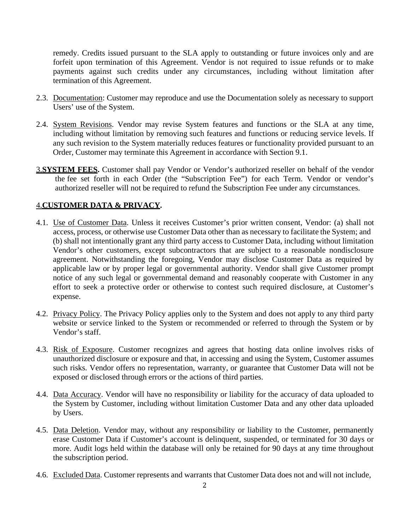remedy. Credits issued pursuant to the SLA apply to outstanding or future invoices only and are forfeit upon termination of this Agreement. Vendor is not required to issue refunds or to make payments against such credits under any circumstances, including without limitation after termination of this Agreement.

- 2.3. Documentation: Customer may reproduce and use the Documentation solely as necessary to support Users' use of the System.
- 2.4. System Revisions. Vendor may revise System features and functions or the SLA at any time, including without limitation by removing such features and functions or reducing service levels. If any such revision to the System materially reduces features or functionality provided pursuant to an Order, Customer may terminate this Agreement in accordance with Section 9.1.
- 3.**SYSTEM FEES.** Customer shall pay Vendor or Vendor's authorized reseller on behalf of the vendor the fee set forth in each Order (the "Subscription Fee") for each Term. Vendor or vendor's authorized reseller will not be required to refund the Subscription Fee under any circumstances.

## <span id="page-1-0"></span>4.**CUSTOMER DATA & PRIVACY.**

- 4.1. Use of Customer Data. Unless it receives Customer's prior written consent, Vendor: (a) shall not access, process, or otherwise use Customer Data other than as necessary to facilitate the System; and (b) shall not intentionally grant any third party access to Customer Data, including without limitation Vendor's other customers, except subcontractors that are subject to a reasonable nondisclosure agreement. Notwithstanding the foregoing, Vendor may disclose Customer Data as required by applicable law or by proper legal or governmental authority. Vendor shall give Customer prompt notice of any such legal or governmental demand and reasonably cooperate with Customer in any effort to seek a protective order or otherwise to contest such required disclosure, at Customer's expense.
- 4.2. Privacy Policy. The Privacy Policy applies only to the System and does not apply to any third party website or service linked to the System or recommended or referred to through the System or by Vendor's staff.
- 4.3. Risk of Exposure. Customer recognizes and agrees that hosting data online involves risks of unauthorized disclosure or exposure and that, in accessing and using the System, Customer assumes such risks. Vendor offers no representation, warranty, or guarantee that Customer Data will not be exposed or disclosed through errors or the actions of third parties.
- 4.4. Data Accuracy. Vendor will have no responsibility or liability for the accuracy of data uploaded to the System by Customer, including without limitation Customer Data and any other data uploaded by Users.
- 4.5. Data Deletion. Vendor may, without any responsibility or liability to the Customer, permanently erase Customer Data if Customer's account is delinquent, suspended, or terminated for 30 days or more. Audit logs held within the database will only be retained for 90 days at any time throughout the subscription period.
- 4.6. Excluded Data. Customer represents and warrants that Customer Data does not and will not include,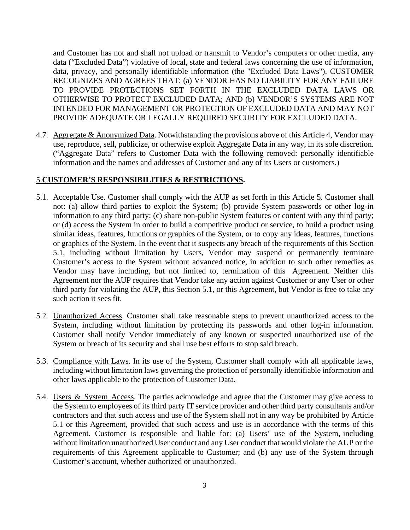and Customer has not and shall not upload or transmit to Vendor's computers or other media, any data ("Excluded Data") violative of local, state and federal laws concerning the use of information, data, privacy, and personally identifiable information (the "Excluded Data Laws"). CUSTOMER RECOGNIZES AND AGREES THAT: (a) VENDOR HAS NO LIABILITY FOR ANY FAILURE TO PROVIDE PROTECTIONS SET FORTH IN THE EXCLUDED DATA LAWS OR OTHERWISE TO PROTECT EXCLUDED DATA; AND (b) VENDOR'S SYSTEMS ARE NOT INTENDED FOR MANAGEMENT OR PROTECTION OF EXCLUDED DATA AND MAY NOT PROVIDE ADEQUATE OR LEGALLY REQUIRED SECURITY FOR EXCLUDED DATA.

4.7. Aggregate & Anonymized Data. Notwithstanding the provisions above of this Articl[e 4,](#page-1-0) Vendor may use, reproduce, sell, publicize, or otherwise exploit Aggregate Data in any way, in its sole discretion. ("Aggregate Data" refers to Customer Data with the following removed: personally identifiable information and the names and addresses of Customer and any of its Users or customers.)

#### 5.**CUSTOMER'S RESPONSIBILITIES & RESTRICTIONS.**

- <span id="page-2-0"></span>5.1. Acceptable Use. Customer shall comply with the AUP as set forth in this Article 5. Customer shall not: (a) allow third parties to exploit the System; (b) provide System passwords or other log-in information to any third party; (c) share non-public System features or content with any third party; or (d) access the System in order to build a competitive product or service, to build a product using similar ideas, features, functions or graphics of the System, or to copy any ideas, features, functions or graphics of the System. In the event that it suspects any breach of the requirements of this Sectio[n](#page-2-0) [5.1,](#page-2-0) including without limitation by Users, Vendor may suspend or permanently terminate Customer's access to the System without advanced notice, in addition to such other remedies as Vendor may have including, but not limited to, termination of this Agreement. Neither this Agreement nor the AUP requires that Vendor take any action against Customer or any User or other third party for violating the AUP, this Section [5.1,](#page-2-0) or this Agreement, but Vendor is free to take any such action it sees fit.
- 5.2. Unauthorized Access. Customer shall take reasonable steps to prevent unauthorized access to the System, including without limitation by protecting its passwords and other log-in information. Customer shall notify Vendor immediately of any known or suspected unauthorized use of the System or breach of its security and shall use best efforts to stop said breach.
- 5.3. Compliance with Laws. In its use of the System, Customer shall comply with all applicable laws, including without limitation laws governing the protection of personally identifiable information and other laws applicable to the protection of Customer Data.
- 5.4. Users & System Access. The parties acknowledge and agree that the Customer may give access to the System to employees of its third party IT service provider and other third party consultants and/or contractors and that such access and use of the System shall not in any way be prohibited by Article 5.1 or this Agreement, provided that such access and use is in accordance with the terms of this Agreement. Customer is responsible and liable for: (a) Users' use of the System, including without limitation unauthorized User conduct and any User conduct that would violate the AUP or the requirements of this Agreement applicable to Customer; and (b) any use of the System through Customer's account, whether authorized or unauthorized.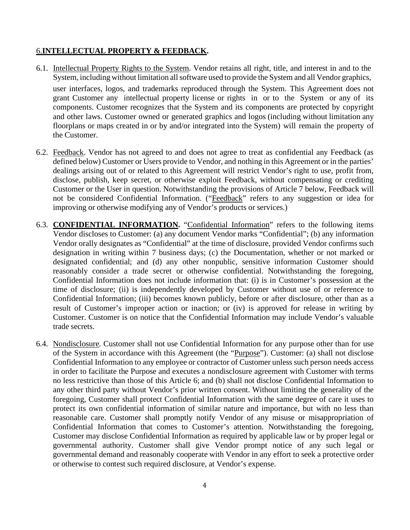## <span id="page-3-1"></span>6.**INTELLECTUAL PROPERTY & FEEDBACK.**

- 6.1. Intellectual Property Rights to the System. Vendor retains all right, title, and interest in and to the System, including without limitation all software used to provide the System and all Vendor graphics, user interfaces, logos, and trademarks reproduced through the System. This Agreement does not grant Customer any intellectual property license or rights in or to the System or any of its components. Customer recognizes that the System and its components are protected by copyright and other laws. Customer owned or generated graphics and logos (including without limitation any floorplans or maps created in or by and/or integrated into the System) will remain the property of the Customer.
- 6.2. Feedback. Vendor has not agreed to and does not agree to treat as confidential any Feedback (as defined below) Customer or Users provide to Vendor, and nothing in this Agreement or in the parties' dealings arising out of or related to this Agreement will restrict Vendor's right to use, profit from, disclose, publish, keep secret, or otherwise exploit Feedback, without compensating or crediting Customer or the User in question. Notwithstanding the provisions of Article [7 b](#page-3-0)elow, Feedback will not be considered Confidential Information. ("Feedback" refers to any suggestion or idea for improving or otherwise modifying any of Vendor's products or services.)
- <span id="page-3-0"></span>6.3. **CONFIDENTIAL INFORMATION.** "Confidential Information" refers to the following items Vendor discloses to Customer: (a) any document Vendor marks "Confidential"; (b) any information Vendor orally designates as "Confidential" at the time of disclosure, provided Vendor confirms such designation in writing within 7 business days; (c) the Documentation, whether or not marked or designated confidential; and (d) any other nonpublic, sensitive information Customer should reasonably consider a trade secret or otherwise confidential. Notwithstanding the foregoing, Confidential Information does not include information that: (i) is in Customer's possession at the time of disclosure; (ii) is independently developed by Customer without use of or reference to Confidential Information; (iii) becomes known publicly, before or after disclosure, other than as a result of Customer's improper action or inaction; or (iv) is approved for release in writing by Customer. Customer is on notice that the Confidential Information may include Vendor's valuable trade secrets.
- 6.4. Nondisclosure*.* Customer shall not use Confidential Information for any purpose other than for use of the System in accordance with this Agreement (the "Purpose"). Customer: (a) shall not disclose Confidential Information to any employee or contractor of Customer unless such person needs access in order to facilitate the Purpose and executes a nondisclosure agreement with Customer with terms no less restrictive than those of this Article 6; and (b) shall not disclose Confidential Information to any other third party without Vendor's prior written consent. Without limiting the generality of the foregoing, Customer shall protect Confidential Information with the same degree of care it uses to protect its own confidential information of similar nature and importance, but with no less than reasonable care. Customer shall promptly notify Vendor of any misuse or misappropriation of Confidential Information that comes to Customer's attention. Notwithstanding the foregoing, Customer may disclose Confidential Information as required by applicable law or by proper legal or governmental authority. Customer shall give Vendor prompt notice of any such legal or governmental demand and reasonably cooperate with Vendor in any effort to seek a protective order or otherwise to contest such required disclosure, at Vendor's expense.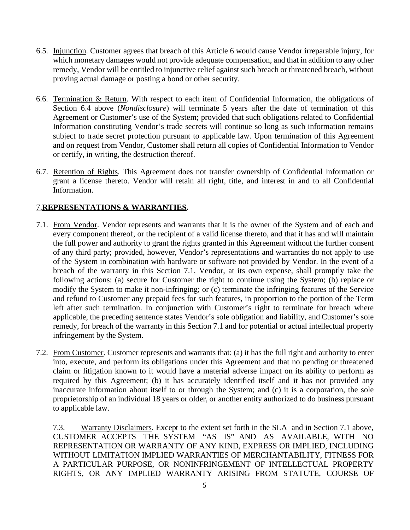- 6.5. Injunction. Customer agrees that breach of this Article 6 would cause Vendor irreparable injury, for which monetary damages would not provide adequate compensation, and that in addition to any other remedy, Vendor will be entitled to injunctive relief against such breach or threatened breach, without proving actual damage or posting a bond or other security.
- 6.6. Termination & Return. With respect to each item of Confidential Information, the obligations of Section 6.4 above (*Nondisclosure*) will terminate 5 years after the date of termination of this Agreement or Customer's use of the System; provided that such obligations related to Confidential Information constituting Vendor's trade secrets will continue so long as such information remains subject to trade secret protection pursuant to applicable law. Upon termination of this Agreement and on request from Vendor, Customer shall return all copies of Confidential Information to Vendor or certify, in writing, the destruction thereof.
- 6.7. Retention of Rights. This Agreement does not transfer ownership of Confidential Information or grant a license thereto. Vendor will retain all right, title, and interest in and to all Confidential Information.

# 7.**REPRESENTATIONS & WARRANTIES.**

- <span id="page-4-0"></span>7.1. From Vendor. Vendor represents and warrants that it is the owner of the System and of each and every component thereof, or the recipient of a valid license thereto, and that it has and will maintain the full power and authority to grant the rights granted in this Agreement without the further consent of any third party; provided, however, Vendor's representations and warranties do not apply to use of the System in combination with hardware or software not provided by Vendor. In the event of a breach of the warranty in this Section [7.1,](#page-4-0) Vendor, at its own expense, shall promptly take the following actions: (a) secure for Customer the right to continue using the System; (b) replace or modify the System to make it non-infringing; or (c) terminate the infringing features of the Service and refund to Customer any prepaid fees for such features, in proportion to the portion of the Term left after such termination. In conjunction with Customer's right to terminate for breach where applicable, the preceding sentence states Vendor's sole obligation and liability, and Customer's sole remedy, for breach of the warranty in this Section [7.1 a](#page-4-0)nd for potential or actual intellectual property infringement by the System.
- 7.2. From Customer. Customer represents and warrants that: (a) it has the full right and authority to enter into, execute, and perform its obligations under this Agreement and that no pending or threatened claim or litigation known to it would have a material adverse impact on its ability to perform as required by this Agreement; (b) it has accurately identified itself and it has not provided any inaccurate information about itself to or through the System; and (c) it is a corporation, the sole proprietorship of an individual 18 years or older, or another entity authorized to do business pursuant to applicable law.

<span id="page-4-1"></span>7.3. Warranty Disclaimers. Except to the extent set forth in the SLA and in Section [7.1 a](#page-4-0)bove, CUSTOMER ACCEPTS THE SYSTEM "AS IS" AND AS AVAILABLE, WITH NO REPRESENTATION OR WARRANTY OF ANY KIND, EXPRESS OR IMPLIED, INCLUDING WITHOUT LIMITATION IMPLIED WARRANTIES OF MERCHANTABILITY, FITNESS FOR A PARTICULAR PURPOSE, OR NONINFRINGEMENT OF INTELLECTUAL PROPERTY RIGHTS, OR ANY IMPLIED WARRANTY ARISING FROM STATUTE, COURSE OF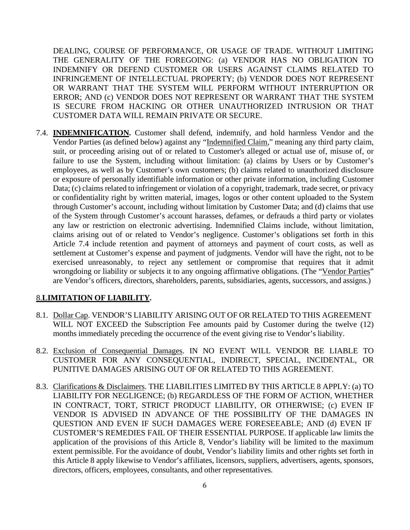DEALING, COURSE OF PERFORMANCE, OR USAGE OF TRADE. WITHOUT LIMITING THE GENERALITY OF THE FOREGOING: (a) VENDOR HAS NO OBLIGATION TO INDEMNIFY OR DEFEND CUSTOMER OR USERS AGAINST CLAIMS RELATED TO INFRINGEMENT OF INTELLECTUAL PROPERTY; (b) VENDOR DOES NOT REPRESENT OR WARRANT THAT THE SYSTEM WILL PERFORM WITHOUT INTERRUPTION OR ERROR; AND (c) VENDOR DOES NOT REPRESENT OR WARRANT THAT THE SYSTEM IS SECURE FROM HACKING OR OTHER UNAUTHORIZED INTRUSION OR THAT CUSTOMER DATA WILL REMAIN PRIVATE OR SECURE.

7.4. **INDEMNIFICATION.** Customer shall defend, indemnify, and hold harmless Vendor and the Vendor Parties (as defined below) against any "Indemnified Claim," meaning any third party claim, suit, or proceeding arising out of or related to Customer's alleged or actual use of, misuse of, or failure to use the System, including without limitation: (a) claims by Users or by Customer's employees, as well as by Customer's own customers; (b) claims related to unauthorized disclosure or exposure of personally identifiable information or other private information, including Customer Data; (c) claims related to infringement or violation of a copyright, trademark, trade secret, or privacy or confidentiality right by written material, images, logos or other content uploaded to the System through Customer's account, including without limitation by Customer Data; and (d) claims that use of the System through Customer's account harasses, defames, or defrauds a third party or violates any law or restriction on electronic advertising. Indemnified Claims include, without limitation, claims arising out of or related to Vendor's negligence. Customer's obligations set forth in this Article 7.4 include retention and payment of attorneys and payment of court costs, as well as settlement at Customer's expense and payment of judgments. Vendor will have the right, not to be exercised unreasonably, to reject any settlement or compromise that requires that it admit wrongdoing or liability or subjects it to any ongoing affirmative obligations. (The "Vendor Parties" are Vendor's officers, directors, shareholders, parents, subsidiaries, agents, successors, and assigns.)

#### 8.**LIMITATION OF LIABILITY.**

- 8.1. Dollar Cap. VENDOR'S LIABILITY ARISING OUT OF OR RELATED TO THIS AGREEMENT WILL NOT EXCEED the Subscription Fee amounts paid by Customer during the twelve (12) months immediately preceding the occurrence of the event giving rise to Vendor's liability.
- 8.2. Exclusion of Consequential Damages. IN NO EVENT WILL VENDOR BE LIABLE TO CUSTOMER FOR ANY CONSEQUENTIAL, INDIRECT, SPECIAL, INCIDENTAL, OR PUNITIVE DAMAGES ARISING OUT OF OR RELATED TO THIS AGREEMENT.
- 8.3. Clarifications & Disclaimers. THE LIABILITIES LIMITED BY THIS ARTICLE 8 APPLY: (a) TO LIABILITY FOR NEGLIGENCE; (b) REGARDLESS OF THE FORM OF ACTION, WHETHER IN CONTRACT, TORT, STRICT PRODUCT LIABILITY, OR OTHERWISE; (c) EVEN IF VENDOR IS ADVISED IN ADVANCE OF THE POSSIBILITY OF THE DAMAGES IN QUESTION AND EVEN IF SUCH DAMAGES WERE FORESEEABLE; AND (d) EVEN IF CUSTOMER'S REMEDIES FAIL OF THEIR ESSENTIAL PURPOSE. If applicable law limits the application of the provisions of this Article 8, Vendor's liability will be limited to the maximum extent permissible. For the avoidance of doubt, Vendor's liability limits and other rights set forth in this Article 8 apply likewise to Vendor's affiliates, licensors, suppliers, advertisers, agents, sponsors, directors, officers, employees, consultants, and other representatives.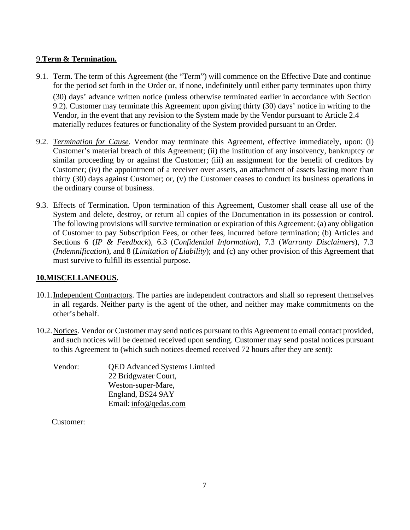## 9.**Term & Termination.**

- <span id="page-6-0"></span>9.1. Term. The term of this Agreement (the "Term") will commence on the Effective Date and continue for the period set forth in the Order or, if none, indefinitely until either party terminates upon thirty (30) days' advance written notice (unless otherwise terminated earlier in accordance with Section 9.2). Customer may terminate this Agreement upon giving thirty (30) days' notice in writing to the Vendor, in the event that any revision to the System made by the Vendor pursuant to Article 2.4 materially reduces features or functionality of the System provided pursuant to an Order.
- 9.2. *Termination for Cause*. Vendor may terminate this Agreement, effective immediately, upon: (i) Customer's material breach of this Agreement; (ii) the institution of any insolvency, bankruptcy or similar proceeding by or against the Customer; (iii) an assignment for the benefit of creditors by Customer; (iv) the appointment of a receiver over assets, an attachment of assets lasting more than thirty (30) days against Customer; or, (v) the Customer ceases to conduct its business operations in the ordinary course of business.
- 9.3. Effects of Termination. Upon termination of this Agreement, Customer shall cease all use of the System and delete, destroy, or return all copies of the Documentation in its possession or control. The following provisions will survive termination or expiration of this Agreement: (a) any obligation of Customer to pay Subscription Fees, or other fees, incurred before termination; (b) Articles and Sections [6 \(](#page-3-1)*IP & Feedback*), 6.3 (*Confidential Information*), [7.3 \(](#page-4-1)*Warranty Disclaimers*), 7.3 (*Indemnification*), and 8 (*Limitation of Liability*); and (c) any other provision of this Agreement that must survive to fulfill its essential purpose.

# **10.MISCELLANEOUS.**

- 10.1.Independent Contractors. The parties are independent contractors and shall so represent themselves in all regards. Neither party is the agent of the other, and neither may make commitments on the other's behalf.
- 10.2.Notices. Vendor or Customer may send notices pursuant to this Agreement to email contact provided, and such notices will be deemed received upon sending. Customer may send postal notices pursuant to this Agreement to (which such notices deemed received 72 hours after they are sent):

| Vendor: | <b>QED</b> Advanced Systems Limited |  |
|---------|-------------------------------------|--|
|         | 22 Bridgwater Court,                |  |
|         | Weston-super-Mare,                  |  |
|         | England, BS24 9AY                   |  |
|         | Email: info@qedas.com               |  |

Customer: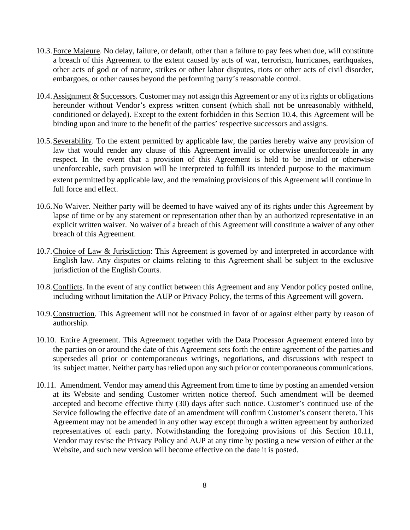- 10.3.Force Majeure. No delay, failure, or default, other than a failure to pay fees when due, will constitute a breach of this Agreement to the extent caused by acts of war, terrorism, hurricanes, earthquakes, other acts of god or of nature, strikes or other labor disputes, riots or other acts of civil disorder, embargoes, or other causes beyond the performing party's reasonable control.
- <span id="page-7-0"></span>10.4.Assignment & Successors. Customer may not assign this Agreement or any of its rights or obligations hereunder without Vendor's express written consent (which shall not be unreasonably withheld, conditioned or delayed). Except to the extent forbidden in this Section [10.4,](#page-7-0) this Agreement will be binding upon and inure to the benefit of the parties' respective successors and assigns.
- 10.5.Severability. To the extent permitted by applicable law, the parties hereby waive any provision of law that would render any clause of this Agreement invalid or otherwise unenforceable in any respect. In the event that a provision of this Agreement is held to be invalid or otherwise unenforceable, such provision will be interpreted to fulfill its intended purpose to the maximum extent permitted by applicable law, and the remaining provisions of this Agreement will continue in full force and effect.
- 10.6.No Waiver. Neither party will be deemed to have waived any of its rights under this Agreement by lapse of time or by any statement or representation other than by an authorized representative in an explicit written waiver. No waiver of a breach of this Agreement will constitute a waiver of any other breach of this Agreement.
- 10.7.Choice of Law & Jurisdiction: This Agreement is governed by and interpreted in accordance with English law. Any disputes or claims relating to this Agreement shall be subject to the exclusive jurisdiction of the English Courts.
- 10.8.Conflicts. In the event of any conflict between this Agreement and any Vendor policy posted online, including without limitation the AUP or Privacy Policy, the terms of this Agreement will govern.
- 10.9.Construction. This Agreement will not be construed in favor of or against either party by reason of authorship.
- 10.10. Entire Agreement. This Agreement together with the Data Processor Agreement entered into by the parties on or around the date of this Agreement sets forth the entire agreement of the parties and supersedes all prior or contemporaneous writings, negotiations, and discussions with respect to its subject matter. Neither party has relied upon any such prior or contemporaneous communications.
- <span id="page-7-1"></span>10.11. Amendment. Vendor may amend this Agreement from time to time by posting an amended version at its Website and sending Customer written notice thereof. Such amendment will be deemed accepted and become effective thirty (30) days after such notice. Customer's continued use of the Service following the effective date of an amendment will confirm Customer's consent thereto. This Agreement may not be amended in any other way except through a written agreement by authorized representatives of each party. Notwithstanding the foregoing provisions of this Section [10.11,](#page-7-1) Vendor may revise the Privacy Policy and AUP at any time by posting a new version of either at the Website, and such new version will become effective on the date it is posted.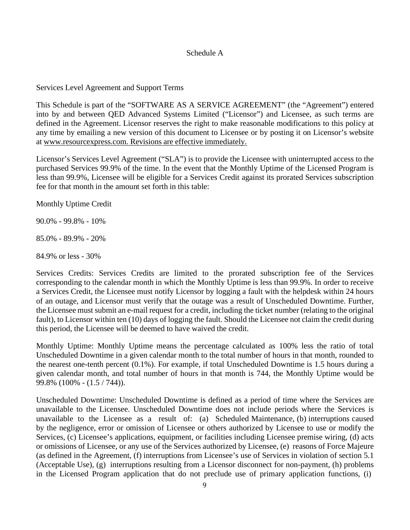## Schedule A

Services Level Agreement and Support Terms

This Schedule is part of the "SOFTWARE AS A SERVICE AGREEMENT" (the "Agreement") entered into by and between QED Advanced Systems Limited ("Licensor") and Licensee, as such terms are defined in the Agreement. Licensor reserves the right to make reasonable modifications to this policy at any time by emailing a new version of this document to Licensee or by posting it on Licensor's website at [www.resourcexpress.com. R](http://www.resourcexpress.com/)evisions are effective immediately.

Licensor's Services Level Agreement ("SLA") is to provide the Licensee with uninterrupted access to the purchased Services 99.9% of the time. In the event that the Monthly Uptime of the Licensed Program is less than 99.9%, Licensee will be eligible for a Services Credit against its prorated Services subscription fee for that month in the amount set forth in this table:

Monthly Uptime Credit

90.0% - 99.8% - 10%

85.0% - 89.9% - 20%

84.9% or less - 30%

Services Credits: Services Credits are limited to the prorated subscription fee of the Services corresponding to the calendar month in which the Monthly Uptime is less than 99.9%. In order to receive a Services Credit, the Licensee must notify Licensor by logging a fault with the helpdesk within 24 hours of an outage, and Licensor must verify that the outage was a result of Unscheduled Downtime. Further, the Licensee must submit an e-mail request for a credit, including the ticket number (relating to the original fault), to Licensor within ten (10) days of logging the fault. Should the Licensee not claim the credit during this period, the Licensee will be deemed to have waived the credit.

Monthly Uptime: Monthly Uptime means the percentage calculated as 100% less the ratio of total Unscheduled Downtime in a given calendar month to the total number of hours in that month, rounded to the nearest one-tenth percent (0.1%). For example, if total Unscheduled Downtime is 1.5 hours during a given calendar month, and total number of hours in that month is 744, the Monthly Uptime would be 99.8% (100% - (1.5 / 744)).

Unscheduled Downtime: Unscheduled Downtime is defined as a period of time where the Services are unavailable to the Licensee. Unscheduled Downtime does not include periods where the Services is unavailable to the Licensee as a result of: (a) Scheduled Maintenance, (b) interruptions caused by the negligence, error or omission of Licensee or others authorized by Licensee to use or modify the Services, (c) Licensee's applications, equipment, or facilities including Licensee premise wiring, (d) acts or omissions of Licensee, or any use of the Services authorized by Licensee, (e) reasons of Force Majeure (as defined in the Agreement, (f) interruptions from Licensee's use of Services in violation of section 5.1 (Acceptable Use), (g) interruptions resulting from a Licensor disconnect for non-payment, (h) problems in the Licensed Program application that do not preclude use of primary application functions, (i)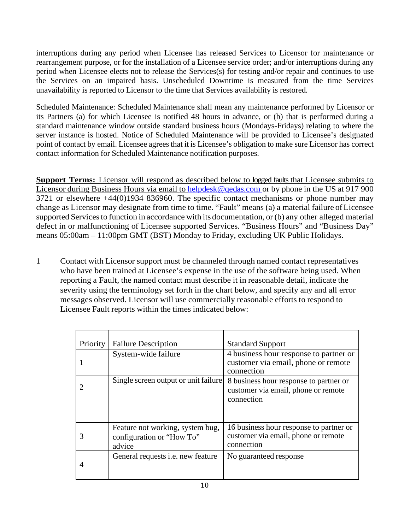interruptions during any period when Licensee has released Services to Licensor for maintenance or rearrangement purpose, or for the installation of a Licensee service order; and/or interruptions during any period when Licensee elects not to release the Services(s) for testing and/or repair and continues to use the Services on an impaired basis. Unscheduled Downtime is measured from the time Services unavailability is reported to Licensor to the time that Services availability is restored.

Scheduled Maintenance: Scheduled Maintenance shall mean any maintenance performed by Licensor or its Partners (a) for which Licensee is notified 48 hours in advance, or (b) that is performed during a standard maintenance window outside standard business hours (Mondays-Fridays) relating to where the server instance is hosted. Notice of Scheduled Maintenance will be provided to Licensee's designated point of contact by email. Licensee agrees that it is Licensee's obligation to make sure Licensor has correct contact information for Scheduled Maintenance notification purposes.

**Support Terms:** Licensor will respond as described below to logged faults that Licensee submits to Licensor during Business Hours via email to [helpdesk@qedas.com o](mailto:helpdesk@qedas.com)r by phone in the US at 917 900 3721 or elsewhere +44(0)1934 836960. The specific contact mechanisms or phone number may change as Licensor may designate from time to time. "Fault" means (a) a material failure of Licensee supported Services to function in accordance with its documentation, or (b) any other alleged material defect in or malfunctioning of Licensee supported Services. "Business Hours" and "Business Day" means 05:00am – 11:00pm GMT (BST) Monday to Friday, excluding UK Public Holidays.

1 Contact with Licensor support must be channeled through named contact representatives who have been trained at Licensee's expense in the use of the software being used. When reporting a Fault, the named contact must describe it in reasonable detail, indicate the severity using the terminology set forth in the chart below, and specify any and all error messages observed. Licensor will use commercially reasonable efforts to respond to Licensee Fault reports within the times indicated below:

| Priority | <b>Failure Description</b>                                              | <b>Standard Support</b>                                                                      |
|----------|-------------------------------------------------------------------------|----------------------------------------------------------------------------------------------|
|          | System-wide failure                                                     | 4 business hour response to partner or<br>customer via email, phone or remote<br>connection  |
|          | Single screen output or unit failure                                    | 8 business hour response to partner or<br>customer via email, phone or remote<br>connection  |
| 3        | Feature not working, system bug,<br>configuration or "How To"<br>advice | 16 business hour response to partner or<br>customer via email, phone or remote<br>connection |
| 4        | General requests i.e. new feature                                       | No guaranteed response                                                                       |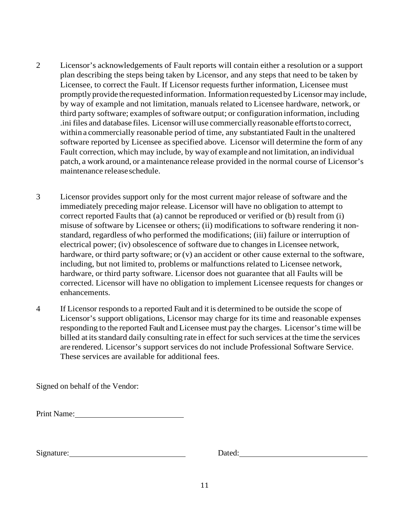- 2 Licensor's acknowledgements of Fault reports will contain either a resolution or a support plan describing the steps being taken by Licensor, and any steps that need to be taken by Licensee, to correct the Fault. If Licensor requests further information, Licensee must promptly provide the requested information. Information requested by Licensor may include, by way of example and not limitation, manuals related to Licensee hardware, network, or third party software; examples of software output; or configuration information, including .ini files and database files. Licensor will use commercially reasonable efforts to correct, within a commercially reasonable period of time, any substantiated Fault in the unaltered software reported by Licensee as specified above. Licensor will determine the form of any Fault correction, which may include, by way of example and not limitation, an individual patch, a work around, or a maintenance release provided in the normal course of Licensor's maintenance release schedule.
- 3 Licensor provides support only for the most current major release of software and the immediately preceding major release. Licensor will have no obligation to attempt to correct reported Faults that (a) cannot be reproduced or verified or (b) result from (i) misuse of software by Licensee or others; (ii) modifications to software rendering it nonstandard, regardless of who performed the modifications; (iii) failure or interruption of electrical power; (iv) obsolescence of software due to changes in Licensee network, hardware, or third party software; or (v) an accident or other cause external to the software, including, but not limited to, problems or malfunctions related to Licensee network, hardware, or third party software. Licensor does not guarantee that all Faults will be corrected. Licensor will have no obligation to implement Licensee requests for changes or enhancements.
- 4 If Licensor responds to a reported Fault and it is determined to be outside the scope of Licensor's support obligations, Licensor may charge for its time and reasonable expenses responding to the reported Fault and Licensee must pay the charges. Licensor's time will be billed at its standard daily consulting rate in effect for such services at the time the services are rendered. Licensor's support services do not include Professional Software Service. These services are available for additional fees.

Signed on behalf of the Vendor:

Print Name:

Signature: Dated: Dated: